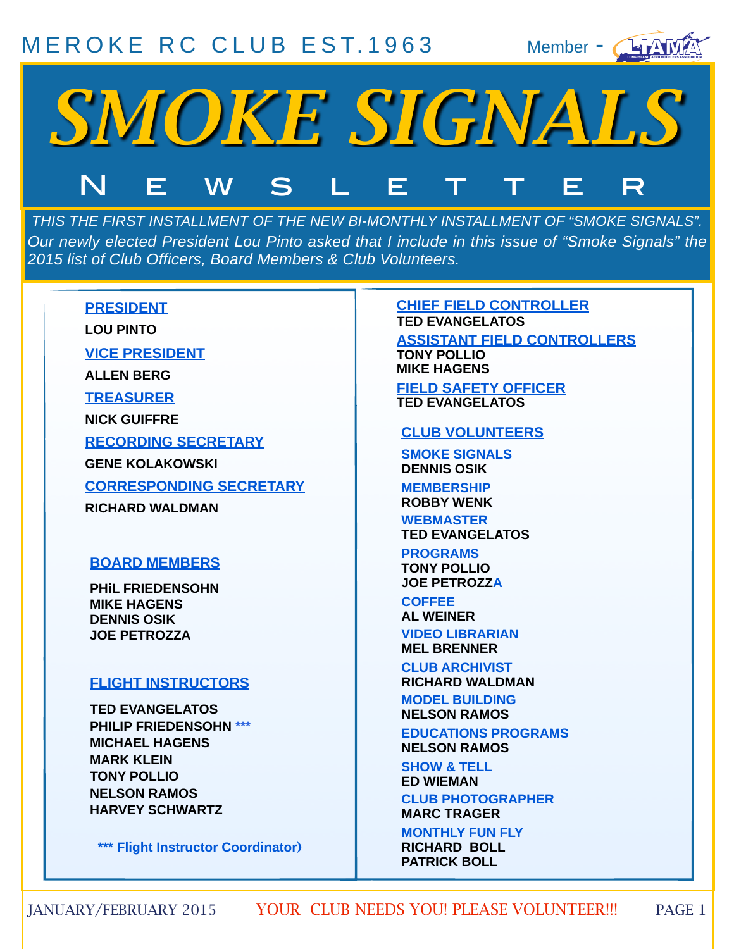#### [MEROKE RC CLUB](http://www.meroke.com) EST. 1963





*THIS THE FIRST INSTALLMENT OF THE NEW BI-MONTHLY INSTALLMENT OF "SMOKE SIGNALS". Our newly elected President Lou Pinto asked that I include in this issue of "Smoke Signals" the 2015 list of Club Officers, Board Members & Club Volunteers.* 

#### **PRESIDENT**

**LOU PINTO**

**VICE PRESIDENT**

**ALLEN BERG**

**TREASURER**

**NICK GUIFFRE**

**RECORDING SECRETARY**

**GENE KOLAKOWSKI**

**CORRESPONDING SECRETARY**

**RICHARD WALDMAN**

#### **BOARD MEMBERS**

**PHiL FRIEDENSOHN MIKE HAGENS DENNIS OSIK JOE PETROZZA**

#### **FLIGHT INSTRUCTORS**

**TED EVANGELATOS PHILIP FRIEDENSOHN \*\*\* MICHAEL HAGENS MARK KLEIN TONY POLLIO NELSON RAMOS HARVEY SCHWARTZ** 

 **\*\*\* Flight Instructor Coordinator**)

#### **CHIEF FIELD CONTROLLER TED EVANGELATOS**

**ASSISTANT FIELD CONTROLLERS TONY POLLIO MIKE HAGENS FIELD SAFETY OFFICER**

**TED EVANGELATOS**

#### **CLUB VOLUNTEERS**

**SMOKE SIGNALS DENNIS OSIK**

**MEMBERSHIP ROBBY WENK**

**WEBMASTER TED EVANGELATOS**

**PROGRAMS TONY POLLIO JOE PETROZZA**

**COFFEE AL WEINER VIDEO LIBRARIAN MEL BRENNER**

**CLUB ARCHIVIST RICHARD WALDMAN**

**MODEL BUILDING NELSON RAMOS**

**EDUCATIONS PROGRAMS NELSON RAMOS**

**SHOW & TELL ED WIEMAN CLUB PHOTOGRAPHER MARC TRAGER**

**MONTHLY FUN FLY RICHARD BOLL PATRICK BOLL**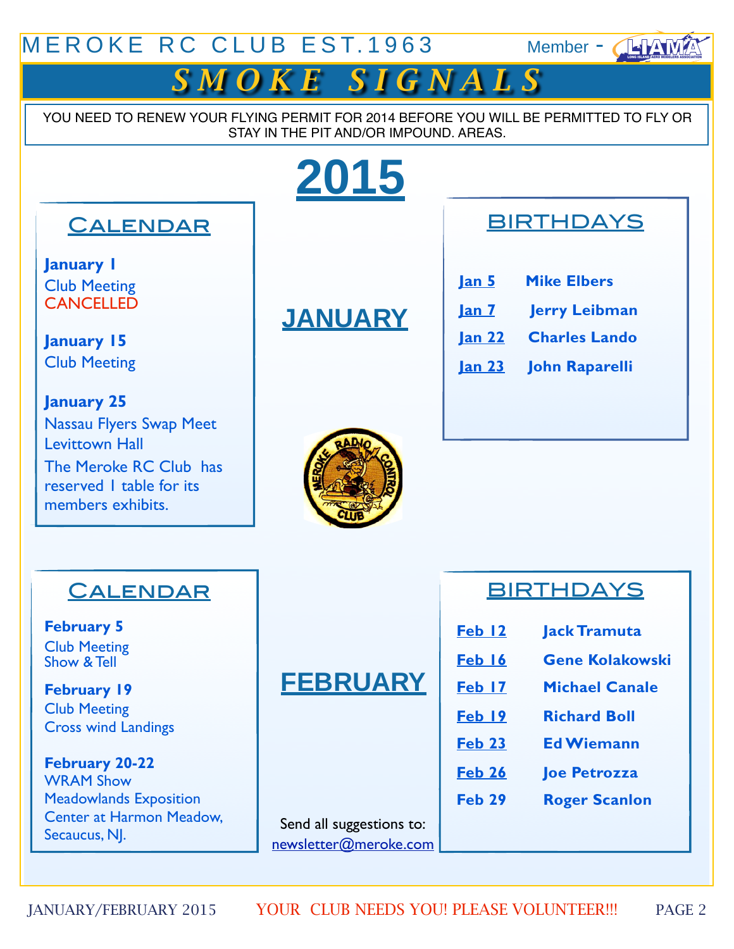#### MEROKE RC CLUB EST. 1963 Member - ANAMA



YOU NEED TO RENEW YOUR FLYING PERMIT FOR 2014 BEFORE YOU WILL BE PERMITTED TO FLY OR STAY IN THE PIT AND/OR IMPOUND. AREAS.

# **2015**

#### **CALENDAR**

**January 1** Club Meeting **CANCELLED** 

**January 15** Club Meeting

**January 25** Nassau Flyers Swap Meet Levittown Hall The Meroke RC Club has reserved 1 table for its members exhibits.

# **JANUARY**

#### **BIRTHDAYS**

| <u> Jan 5</u> | <b>Mike Elbers</b>   |
|---------------|----------------------|
| <u>Jan 7</u>  | <b>Jerry Leibman</b> |
| <u>lan 22</u> | <b>Charles Lando</b> |
| <u>Jan 23</u> | John Raparelli       |



#### **CALENDAR**

**February 5** Club Meeting Show & Tell

**February 19**  Club Meeting Cross wind Landings

**February 20-22** WRAM Show [Meadowlands Exposition](http://maps.google.com/maps?f=q&source=s_q&hl=en&geocode=&q=355+Plaza+Drive,+Secaucus+NJ+07094+&aq=&sll=37.0625,-95.677068&sspn=50.111473,64.863281&ie=UTF8&hq=&hnear=355+Plaza+Dr,+Secaucus,+New+Jersey+07094&ll=40.786196,-74.042745&spn=0.02359,0.031672&z=15)  [Center at Harmon Meadow,](http://maps.google.com/maps?f=q&source=s_q&hl=en&geocode=&q=355+Plaza+Drive,+Secaucus+NJ+07094+&aq=&sll=37.0625,-95.677068&sspn=50.111473,64.863281&ie=UTF8&hq=&hnear=355+Plaza+Dr,+Secaucus,+New+Jersey+07094&ll=40.786196,-74.042745&spn=0.02359,0.031672&z=15)  [Secaucus, NJ.](http://maps.google.com/maps?f=q&source=s_q&hl=en&geocode=&q=355+Plaza+Drive,+Secaucus+NJ+07094+&aq=&sll=37.0625,-95.677068&sspn=50.111473,64.863281&ie=UTF8&hq=&hnear=355+Plaza+Dr,+Secaucus,+New+Jersey+07094&ll=40.786196,-74.042745&spn=0.02359,0.031672&z=15)

## **FEBRUARY**

Send all suggestions to: newsletter@meroke.com

#### **BIRTHDAYS**

- **Feb 12 Jack Tramuta**
- **Feb 16 Gene Kolakowski**
- **Feb 17 Michael Canale**
- **Feb 19 Richard Boll**
- **Feb 23 Ed Wiemann**
- **Feb 26 Joe Petrozza**
- **Feb 29 Roger Scanlon**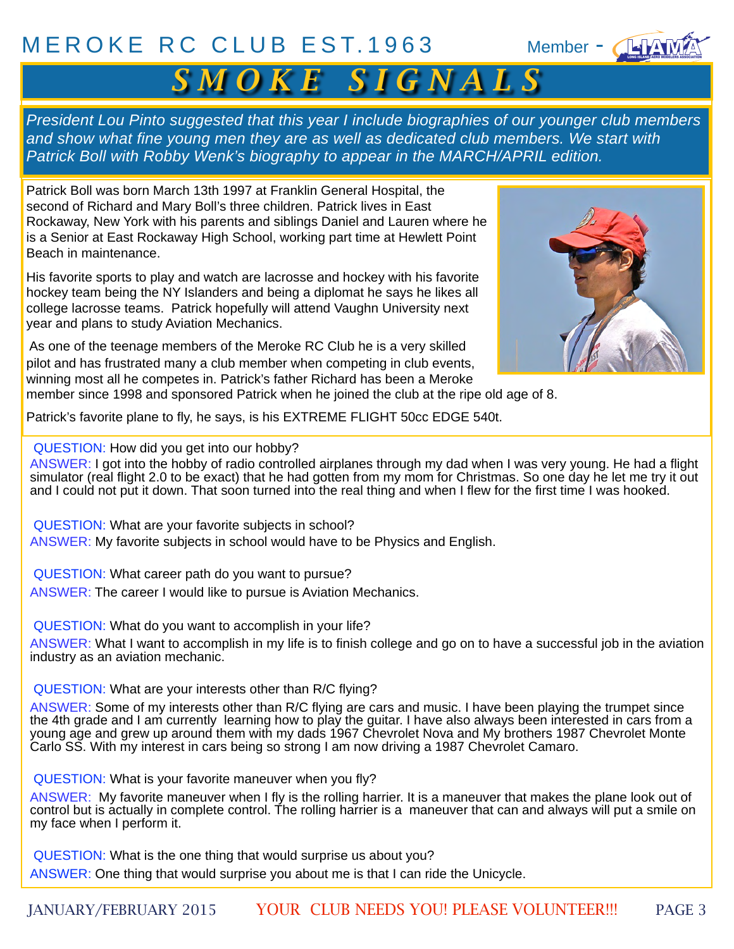#### [MEROKE RC CLUB](http://www.meroke.com) EST. 1963 Member - 1

# $S$  *M O K E S I G N A L S*

*President Lou Pinto suggested that this year I include biographies of our younger club members and show what fine young men they are as well as dedicated club members. We start with Patrick Boll with Robby Wenk's biography to appear in the MARCH/APRIL edition.*

Patrick Boll was born March 13th 1997 at Franklin General Hospital, the second of Richard and Mary Boll's three children. Patrick lives in East Rockaway, New York with his parents and siblings Daniel and Lauren where he is a Senior at East Rockaway High School, working part time at Hewlett Point Beach in maintenance.

His favorite sports to play and watch are lacrosse and hockey with his favorite hockey team being the NY Islanders and being a diplomat he says he likes all college lacrosse teams. Patrick hopefully will attend Vaughn University next year and plans to study Aviation Mechanics.

 As one of the teenage members of the Meroke RC Club he is a very skilled pilot and has frustrated many a club member when competing in club events, winning most all he competes in. Patrick's father Richard has been a Meroke



member since 1998 and sponsored Patrick when he joined the club at the ripe old age of 8.

Patrick's favorite plane to fly, he says, is his EXTREME FLIGHT 50cc EDGE 540t.

QUESTION: How did you get into our hobby?

ANSWER: I got into the hobby of radio controlled airplanes through my dad when I was very young. He had a flight simulator (real flight 2.0 to be exact) that he had gotten from my mom for Christmas. So one day he let me try it out and I could not put it down. That soon turned into the real thing and when I flew for the first time I was hooked.

QUESTION: What are your favorite subjects in school? ANSWER: My favorite subjects in school would have to be Physics and English.

QUESTION: What career path do you want to pursue? ANSWER: The career I would like to pursue is Aviation Mechanics.

QUESTION: What do you want to accomplish in your life?

ANSWER: What I want to accomplish in my life is to finish college and go on to have a successful job in the aviation industry as an aviation mechanic.

QUESTION: What are your interests other than R/C flying?

ANSWER: Some of my interests other than R/C flying are cars and music. I have been playing the trumpet since the 4th grade and I am currently learning how to play the guitar. I have also always been interested in cars from a young age and grew up around them with my dads 1967 Chevrolet Nova and My brothers 1987 Chevrolet Monte Carlo SS. With my interest in cars being so strong I am now driving a 1987 Chevrolet Camaro.

QUESTION: What is your favorite maneuver when you fly?

ANSWER: My favorite maneuver when I fly is the rolling harrier. It is a maneuver that makes the plane look out of control but is actually in complete control. The rolling harrier is a maneuver that can and always will put a smile on my face when I perform it.

QUESTION: What is the one thing that would surprise us about you? ANSWER: One thing that would surprise you about me is that I can ride the Unicycle.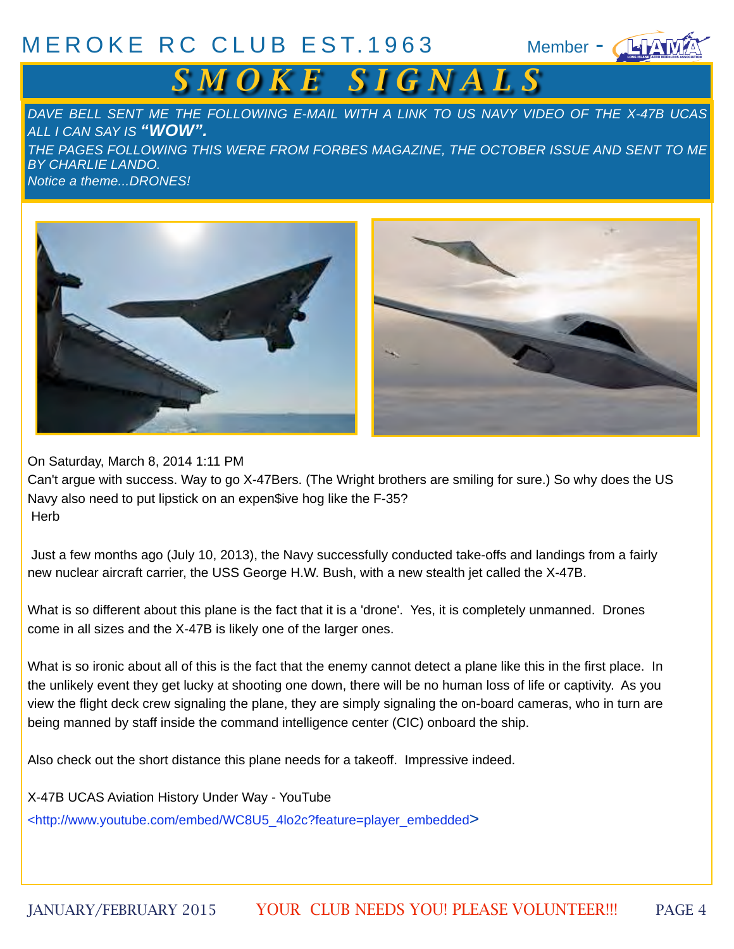#### $MEROKE$  RC CLUB EST.1963 Member -  $\sqrt{4}$

# $S$  *M O K E S I G N A L S*

*DAVE BELL SENT ME THE FOLLOWING E-MAIL WITH A LINK TO US NAVY VIDEO OF THE X-47B UCAS ALL I CAN SAY IS "WOW". THE PAGES FOLLOWING THIS WERE FROM FORBES MAGAZINE, THE OCTOBER ISSUE AND SENT TO ME BY CHARLIE LANDO. Notice a theme...DRONES!*



On Saturday, March 8, 2014 1:11 PM

Can't argue with success. Way to go X-47Bers. (The Wright brothers are smiling for sure.) So why does the US Navy also need to put lipstick on an expen\$ive hog like the F-35? **Herb** 

 Just a few months ago (July 10, 2013), the Navy successfully conducted take-offs and landings from a fairly new nuclear aircraft carrier, the USS George H.W. Bush, with a new stealth jet called the X-47B.

What is so different about this plane is the fact that it is a 'drone'. Yes, it is completely unmanned. Drones come in all sizes and the X-47B is likely one of the larger ones.

What is so ironic about all of this is the fact that the enemy cannot detect a plane like this in the first place. In the unlikely event they get lucky at shooting one down, there will be no human loss of life or captivity. As you view the flight deck crew signaling the plane, they are simply signaling the on-board cameras, who in turn are being manned by staff inside the command intelligence center (CIC) onboard the ship.

Also check out the short distance this plane needs for a takeoff. Impressive indeed.

X-47B UCAS Aviation History Under Way - YouTube

[<http://www.youtube.com/embed/WC8U5\\_4lo2c?feature=player\\_embedded>](http://www.youtube.com/embed/WC8U5_4lo2c?feature=player_embedded)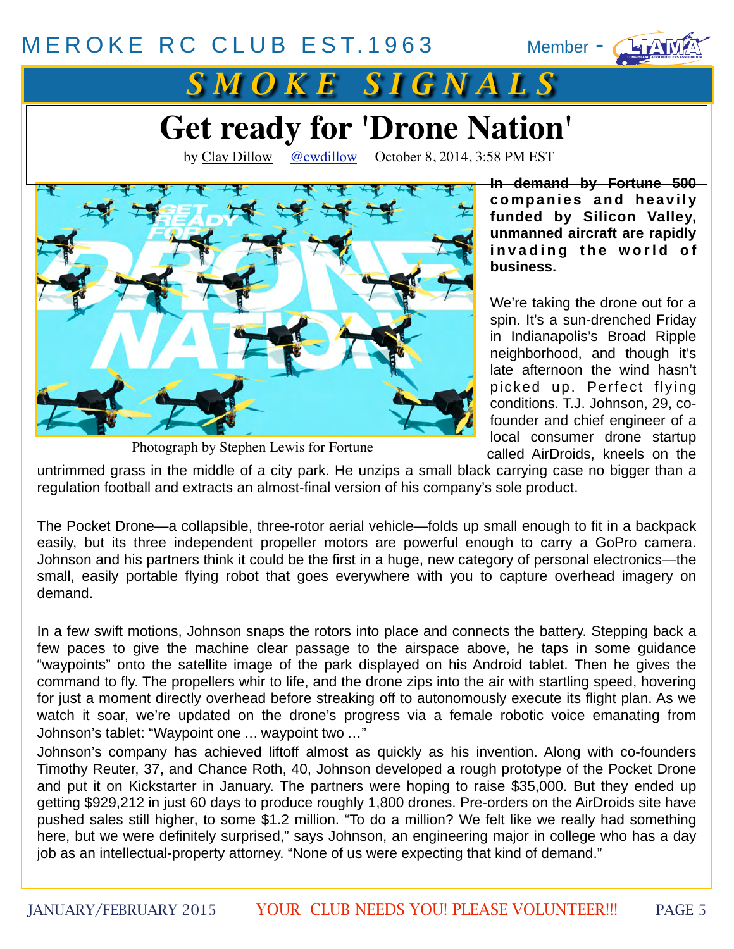#### [MEROKE RC CLUB](http://www.meroke.com) EST. 1963

Member  $\blacksquare$ 



# *S M O K E S I G N A L S*

# **Get ready for 'Drone Nation'**

by [Clay Dillow](http://fortune.com/author/clay-dillow/) [@cwdillow](https://twitter.com/cwdillow) October 8, 2014, 3:58 PM EST



Photograph by Stephen Lewis for Fortune

**In demand by Fortune 500**  companies and heavily **funded by Silicon Valley, unmanned aircraft are rapidly**  invading the world of **business.**

We're taking the drone out for a spin. It's a sun-drenched Friday in Indianapolis's Broad Ripple neighborhood, and though it's late afternoon the wind hasn't picked up. Perfect flying conditions. T.J. Johnson, 29, cofounder and chief engineer of a local consumer drone startup called AirDroids, kneels on the

untrimmed grass in the middle of a city park. He unzips a small black carrying case no bigger than a regulation football and extracts an almost-final version of his company's sole product.

The Pocket Drone—a collapsible, three-rotor aerial vehicle—folds up small enough to fit in a backpack easily, but its three independent propeller motors are powerful enough to carry a GoPro camera. Johnson and his partners think it could be the first in a huge, new category of personal electronics—the small, easily portable flying robot that goes everywhere with you to capture overhead imagery on demand.

In a few swift motions, Johnson snaps the rotors into place and connects the battery. Stepping back a few paces to give the machine clear passage to the airspace above, he taps in some guidance "waypoints" onto the satellite image of the park displayed on his Android tablet. Then he gives the command to fly. The propellers whir to life, and the drone zips into the air with startling speed, hovering for just a moment directly overhead before streaking off to autonomously execute its flight plan. As we watch it soar, we're updated on the drone's progress via a female robotic voice emanating from Johnson's tablet: "Waypoint one … waypoint two …"

Johnson's company has achieved liftoff almost as quickly as his invention. Along with co-founders Timothy Reuter, 37, and Chance Roth, 40, Johnson developed a rough prototype of the Pocket Drone and put it on Kickstarter in January. The partners were hoping to raise \$35,000. But they ended up getting \$929,212 in just 60 days to produce roughly 1,800 drones. Pre-orders on the AirDroids site have pushed sales still higher, to some \$1.2 million. "To do a million? We felt like we really had something here, but we were definitely surprised," says Johnson, an engineering major in college who has a day job as an intellectual-property attorney. "None of us were expecting that kind of demand."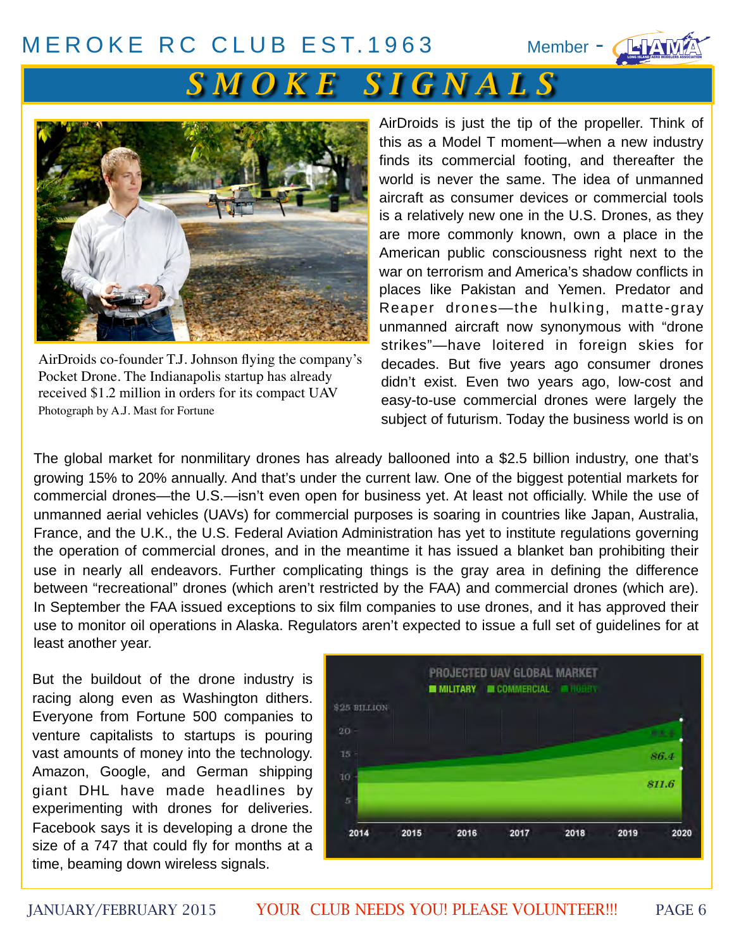#### [MEROKE RC CLUB](http://www.meroke.com) EST. 1963

Member - CHAT

# *S M O K E S I G N A L S*



AirDroids co-founder T.J. Johnson flying the company's Pocket Drone. The Indianapolis startup has already received \$1.2 million in orders for its compact UAV Photograph by A.J. Mast for Fortune

AirDroids is just the tip of the propeller. Think of this as a Model T moment—when a new industry finds its commercial footing, and thereafter the world is never the same. The idea of unmanned aircraft as consumer devices or commercial tools is a relatively new one in the U.S. Drones, as they are more commonly known, own a place in the American public consciousness right next to the war on terrorism and America's shadow conflicts in places like Pakistan and Yemen. Predator and Reaper drones—the hulking, matte-gray unmanned aircraft now synonymous with "drone strikes"—have loitered in foreign skies for decades. But five years ago consumer drones didn't exist. Even two years ago, low-cost and easy-to-use commercial drones were largely the subject of futurism. Today the business world is on

The global market for nonmilitary drones has already ballooned into a \$2.5 billion industry, one that's growing 15% to 20% annually. And that's under the current law. One of the biggest potential markets for commercial drones—the U.S.—isn't even open for business yet. At least not officially. While the use of unmanned aerial vehicles (UAVs) for commercial purposes is soaring in countries like Japan, Australia, France, and the U.K., the U.S. Federal Aviation Administration has yet to institute regulations governing the operation of commercial drones, and in the meantime it has issued a blanket ban prohibiting their use in nearly all endeavors. Further complicating things is the gray area in defining the difference between "recreational" drones (which aren't restricted by the FAA) and commercial drones (which are). In September the FAA issued exceptions to six film companies to use drones, and it has approved their use to monitor oil operations in Alaska. Regulators aren't expected to issue a full set of guidelines for at least another year.

But the buildout of the drone industry is racing along even as Washington dithers. Everyone from Fortune 500 companies to venture capitalists to startups is pouring vast amounts of money into the technology. Amazon, Google, and German shipping giant DHL have made headlines by experimenting with drones for deliveries. Facebook says it is developing a drone the size of a 747 that could fly for months at a time, beaming down wireless signals.

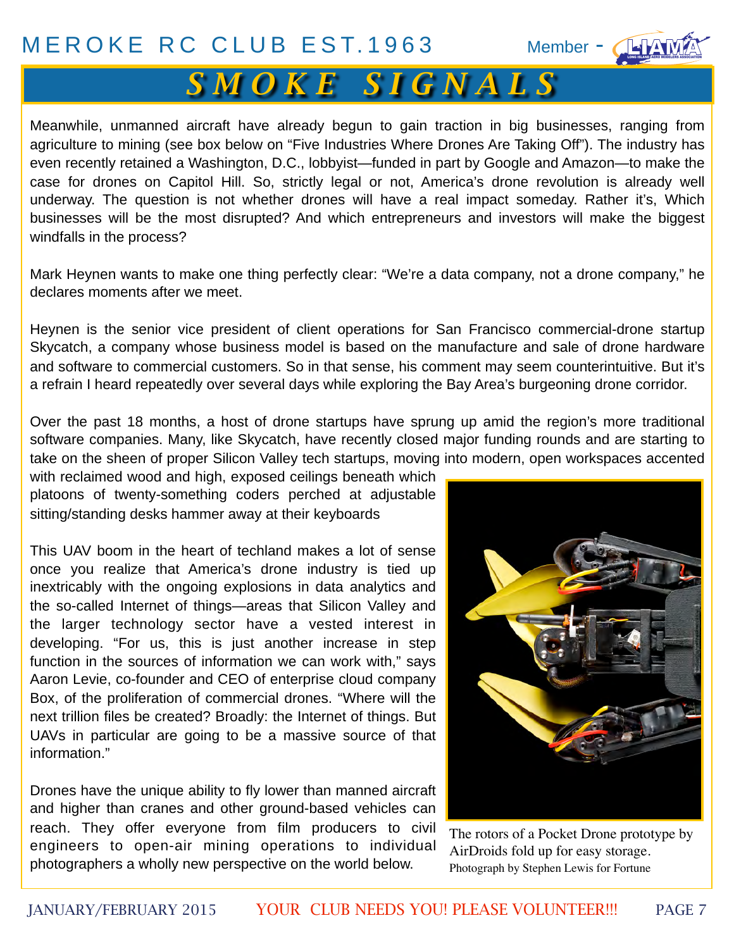# *S M O K E S I G N A L S*

Meanwhile, unmanned aircraft have already begun to gain traction in big businesses, ranging from agriculture to mining (see box below on "Five Industries Where Drones Are Taking Off"). The industry has even recently retained a Washington, D.C., lobbyist—funded in part by Google and Amazon—to make the case for drones on Capitol Hill. So, strictly legal or not, America's drone revolution is already well underway. The question is not whether drones will have a real impact someday. Rather it's, Which businesses will be the most disrupted? And which entrepreneurs and investors will make the biggest windfalls in the process?

Mark Heynen wants to make one thing perfectly clear: "We're a data company, not a drone company," he declares moments after we meet.

Heynen is the senior vice president of client operations for San Francisco commercial-drone startup Skycatch, a company whose business model is based on the manufacture and sale of drone hardware and software to commercial customers. So in that sense, his comment may seem counterintuitive. But it's a refrain I heard repeatedly over several days while exploring the Bay Area's burgeoning drone corridor.

Over the past 18 months, a host of drone startups have sprung up amid the region's more traditional software companies. Many, like Skycatch, have recently closed major funding rounds and are starting to take on the sheen of proper Silicon Valley tech startups, moving into modern, open workspaces accented

with reclaimed wood and high, exposed ceilings beneath which platoons of twenty-something coders perched at adjustable sitting/standing desks hammer away at their keyboards

This UAV boom in the heart of techland makes a lot of sense once you realize that America's drone industry is tied up inextricably with the ongoing explosions in data analytics and the so-called Internet of things—areas that Silicon Valley and the larger technology sector have a vested interest in developing. "For us, this is just another increase in step function in the sources of information we can work with," says Aaron Levie, co-founder and CEO of enterprise cloud company Box, of the proliferation of commercial drones. "Where will the next trillion files be created? Broadly: the Internet of things. But UAVs in particular are going to be a massive source of that information."

Drones have the unique ability to fly lower than manned aircraft and higher than cranes and other ground-based vehicles can reach. They offer everyone from film producers to civil engineers to open-air mining operations to individual photographers a wholly new perspective on the world below.



The rotors of a Pocket Drone prototype by AirDroids fold up for easy storage. Photograph by Stephen Lewis for Fortune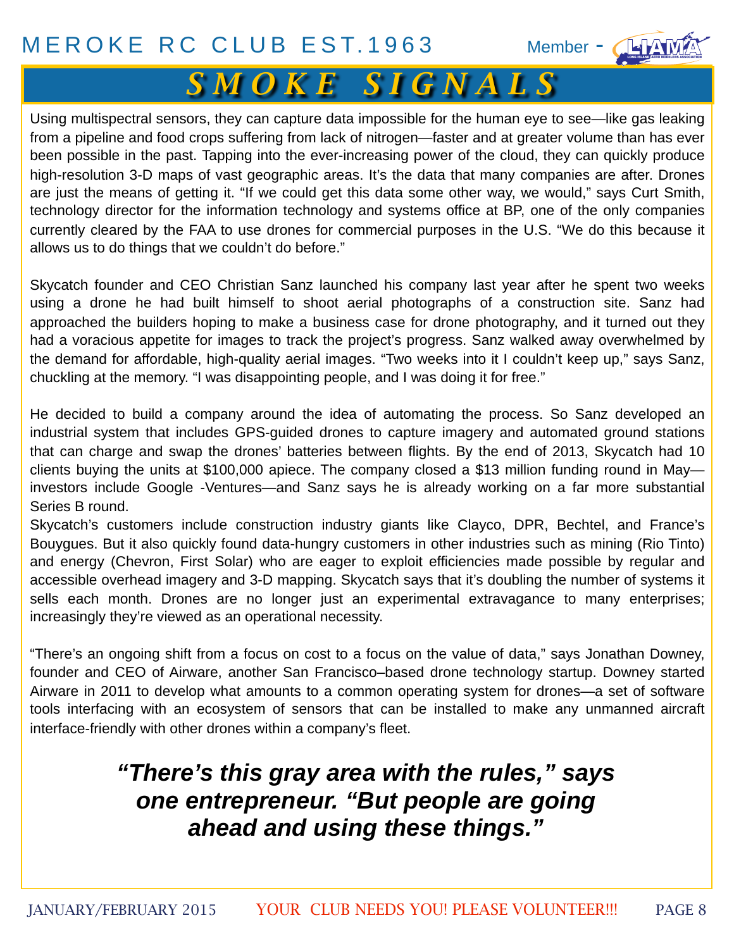# *S M O K E S I G N A L S*

Using multispectral sensors, they can capture data impossible for the human eye to see—like gas leaking from a pipeline and food crops suffering from lack of nitrogen—faster and at greater volume than has ever been possible in the past. Tapping into the ever-increasing power of the cloud, they can quickly produce high-resolution 3-D maps of vast geographic areas. It's the data that many companies are after. Drones are just the means of getting it. "If we could get this data some other way, we would," says Curt Smith, technology director for the information technology and systems office at BP, one of the only companies currently cleared by the FAA to use drones for commercial purposes in the U.S. "We do this because it allows us to do things that we couldn't do before."

Skycatch founder and CEO Christian Sanz launched his company last year after he spent two weeks using a drone he had built himself to shoot aerial photographs of a construction site. Sanz had approached the builders hoping to make a business case for drone photography, and it turned out they had a voracious appetite for images to track the project's progress. Sanz walked away overwhelmed by the demand for affordable, high-quality aerial images. "Two weeks into it I couldn't keep up," says Sanz, chuckling at the memory. "I was disappointing people, and I was doing it for free."

He decided to build a company around the idea of automating the process. So Sanz developed an industrial system that includes GPS-guided drones to capture imagery and automated ground stations that can charge and swap the drones' batteries between flights. By the end of 2013, Skycatch had 10 clients buying the units at \$100,000 apiece. The company closed a \$13 million funding round in May investors include Google -Ventures—and Sanz says he is already working on a far more substantial Series B round.

Skycatch's customers include construction industry giants like Clayco, DPR, Bechtel, and France's Bouygues. But it also quickly found data-hungry customers in other industries such as mining (Rio Tinto) and energy (Chevron, First Solar) who are eager to exploit efficiencies made possible by regular and accessible overhead imagery and 3-D mapping. Skycatch says that it's doubling the number of systems it sells each month. Drones are no longer just an experimental extravagance to many enterprises; increasingly they're viewed as an operational necessity.

"There's an ongoing shift from a focus on cost to a focus on the value of data," says Jonathan Downey, founder and CEO of Airware, another San Francisco–based drone technology startup. Downey started Airware in 2011 to develop what amounts to a common operating system for drones—a set of software tools interfacing with an ecosystem of sensors that can be installed to make any unmanned aircraft interface-friendly with other drones within a company's fleet.

### *"There's this gray area with the rules," says one entrepreneur. "But people are going ahead and using these things."*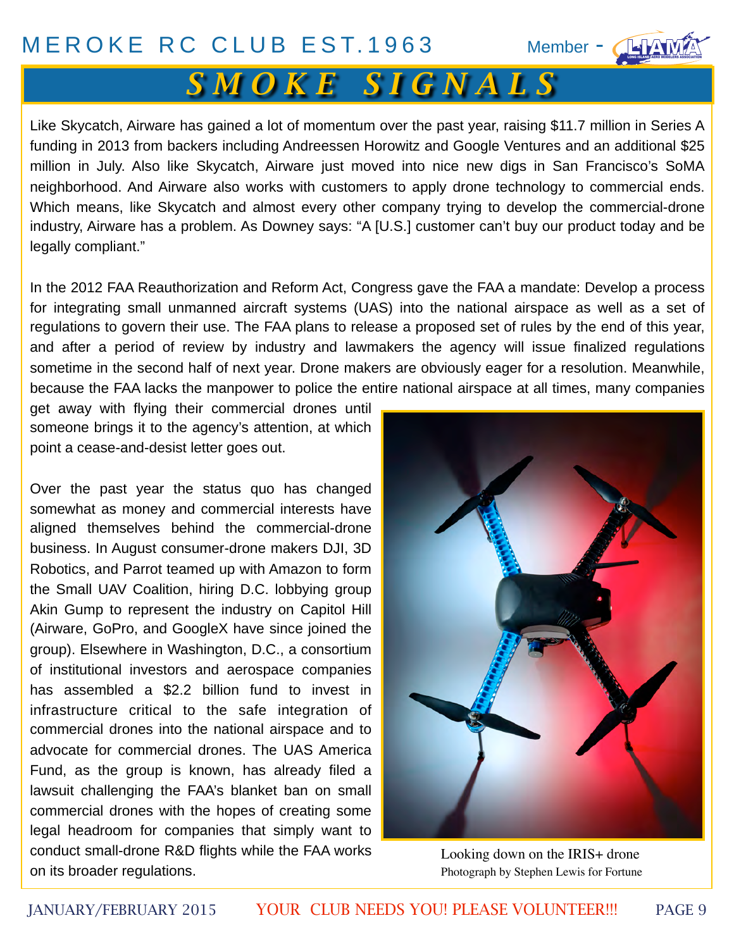Member - CHAM

# *S M O K E S I G N A L S*

Like Skycatch, Airware has gained a lot of momentum over the past year, raising \$11.7 million in Series A funding in 2013 from backers including Andreessen Horowitz and Google Ventures and an additional \$25 million in July. Also like Skycatch, Airware just moved into nice new digs in San Francisco's SoMA neighborhood. And Airware also works with customers to apply drone technology to commercial ends. Which means, like Skycatch and almost every other company trying to develop the commercial-drone industry, Airware has a problem. As Downey says: "A [U.S.] customer can't buy our product today and be legally compliant."

In the 2012 FAA Reauthorization and Reform Act, Congress gave the FAA a mandate: Develop a process for integrating small unmanned aircraft systems (UAS) into the national airspace as well as a set of regulations to govern their use. The FAA plans to release a proposed set of rules by the end of this year, and after a period of review by industry and lawmakers the agency will issue finalized regulations sometime in the second half of next year. Drone makers are obviously eager for a resolution. Meanwhile, because the FAA lacks the manpower to police the entire national airspace at all times, many companies

get away with flying their commercial drones until someone brings it to the agency's attention, at which point a cease-and-desist letter goes out.

Over the past year the status quo has changed somewhat as money and commercial interests have aligned themselves behind the commercial-drone business. In August consumer-drone makers DJI, 3D Robotics, and Parrot teamed up with Amazon to form the Small UAV Coalition, hiring D.C. lobbying group Akin Gump to represent the industry on Capitol Hill (Airware, GoPro, and GoogleX have since joined the group). Elsewhere in Washington, D.C., a consortium of institutional investors and aerospace companies has assembled a \$2.2 billion fund to invest in infrastructure critical to the safe integration of commercial drones into the national airspace and to advocate for commercial drones. The UAS America Fund, as the group is known, has already filed a lawsuit challenging the FAA's blanket ban on small commercial drones with the hopes of creating some legal headroom for companies that simply want to conduct small-drone R&D flights while the FAA works on its broader regulations.



Looking down on the IRIS+ drone Photograph by Stephen Lewis for Fortune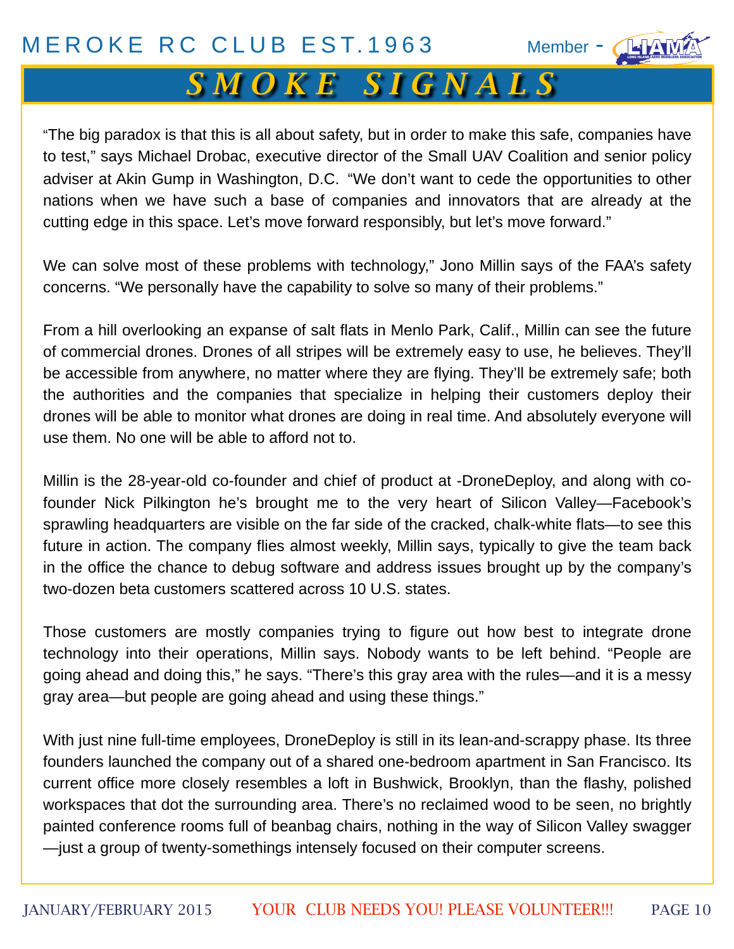# *S M O K E S I G N A L S*

"The big paradox is that this is all about safety, but in order to make this safe, companies have to test," says Michael Drobac, executive director of the Small UAV Coalition and senior policy adviser at Akin Gump in Washington, D.C. "We don't want to cede the opportunities to other nations when we have such a base of companies and innovators that are already at the cutting edge in this space. Let's move forward responsibly, but let's move forward."

We can solve most of these problems with technology," Jono Millin says of the FAA's safety concerns. "We personally have the capability to solve so many of their problems."

From a hill overlooking an expanse of salt flats in Menlo Park, Calif., Millin can see the future of commercial drones. Drones of all stripes will be extremely easy to use, he believes. They'll be accessible from anywhere, no matter where they are flying. They'll be extremely safe; both the authorities and the companies that specialize in helping their customers deploy their drones will be able to monitor what drones are doing in real time. And absolutely everyone will use them. No one will be able to afford not to.

Millin is the 28-year-old co-founder and chief of product at -DroneDeploy, and along with cofounder Nick Pilkington he's brought me to the very heart of Silicon Valley—Facebook's sprawling headquarters are visible on the far side of the cracked, chalk-white flats—to see this future in action. The company flies almost weekly, Millin says, typically to give the team back in the office the chance to debug software and address issues brought up by the company's two-dozen beta customers scattered across 10 U.S. states.

Those customers are mostly companies trying to figure out how best to integrate drone technology into their operations, Millin says. Nobody wants to be left behind. "People are going ahead and doing this," he says. "There's this gray area with the rules—and it is a messy gray area—but people are going ahead and using these things."

With just nine full-time employees, DroneDeploy is still in its lean-and-scrappy phase. Its three founders launched the company out of a shared one-bedroom apartment in San Francisco. Its current office more closely resembles a loft in Bushwick, Brooklyn, than the flashy, polished workspaces that dot the surrounding area. There's no reclaimed wood to be seen, no brightly painted conference rooms full of beanbag chairs, nothing in the way of Silicon Valley swagger —just a group of twenty-somethings intensely focused on their computer screens.